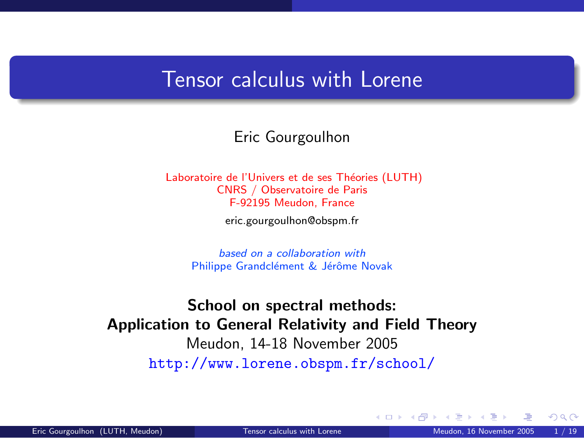## Tensor calculus with Lorene

Eric Gourgoulhon

Laboratoire de l'Univers et de ses Théories (LUTH) CNRS / Observatoire de Paris F-92195 Meudon, France

[eric.gourgoulhon@obspm.fr](mailto:eric.gourgoulhon@obspm.fr)

based on a collaboration with Philippe Grandclément & Jérôme Novak

[School on spectral methods:](http://www.lorene.obspm.fr/school/) [Application to General Relativity and Field Theory](http://www.lorene.obspm.fr/school/) Meudon, 14-18 November 2005 <http://www.lorene.obspm.fr/school/>

<span id="page-0-0"></span> $\Omega$ 

**K ロ ▶ K 何 ▶ K 手**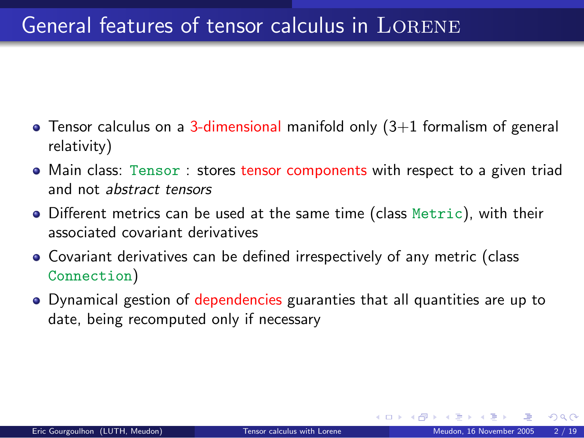## General features of tensor calculus in LORENE

- $\bullet$  Tensor calculus on a 3-dimensional manifold only  $(3+1)$  formalism of general relativity)
- Main class: Tensor : stores tensor components with respect to a given triad and not abstract tensors
- Different metrics can be used at the same time (class Metric), with their associated covariant derivatives
- Covariant derivatives can be defined irrespectively of any metric (class Connection)
- Dynamical gestion of dependencies guaranties that all quantities are up to date, being recomputed only if necessary

 $\Omega$ 

**K ロ ト K 何 ト K ヨ ト**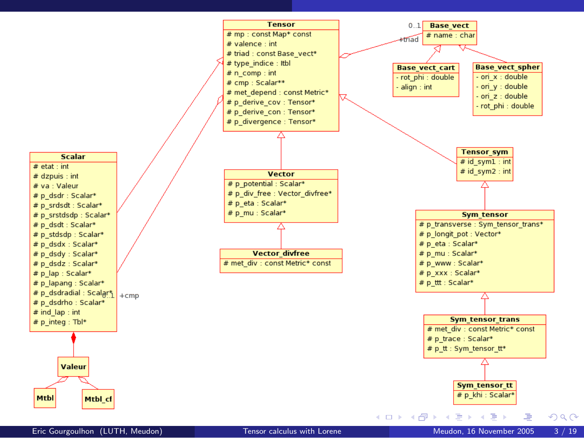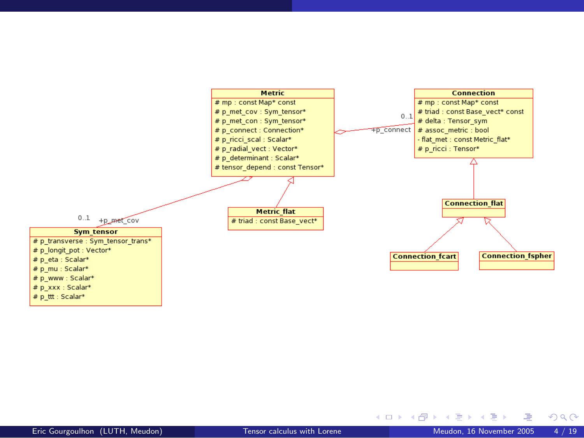

哇

 $QQ$ 

メロト メ御 トメ ミト メ ミト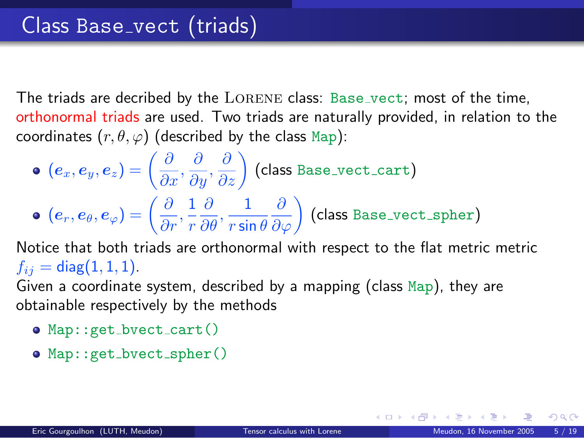The triads are decribed by the LORENE class: Base vect; most of the time, orthonormal triads are used. Two triads are naturally provided, in relation to the coordinates  $(r, \theta, \varphi)$  (described by the class Map):

 $(\bm{e}_x,\bm{e}_y,\bm{e}_z)=\left(\frac{\partial}{\partial x},\frac{\partial}{\partial y},\frac{\partial}{\partial z}\right)$  (class <code>Base\_vect\_cart</code>)  $(\boldsymbol{e}_r, \boldsymbol{e}_{\theta}, \boldsymbol{e}_{\varphi}) = \bigg(\frac{\partial}{\partial r}, \frac{1}{r}$ r  $\frac{\partial}{\partial \theta}, \frac{1}{r \sin}$  $r$  sin  $\theta$  $\left(\dfrac{\partial}{\partial \varphi}\right)$  (class Base\_vect\_spher)

Notice that both triads are orthonormal with respect to the flat metric metric  $f_{ij} = \text{diag}(1, 1, 1).$ 

Given a coordinate system, described by a mapping (class Map), they are obtainable respectively by the methods

- Map::get\_bvect\_cart()
- Map::get\_bvect\_spher()

メロメ メ都 メメ 君 メメ ヨメ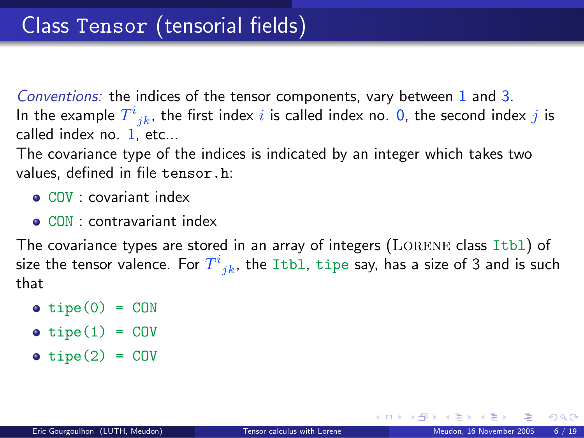Conventions: the indices of the tensor components, vary between 1 and 3. In the example  $T^i_{\;\;jk}$ , the first index  $i$  is called index no. 0, the second index  $j$  is called index no. 1, etc...

The covariance type of the indices is indicated by an integer which takes two values, defined in file tensor.h:

- COV : covariant index
- CON : contravariant index

The covariance types are stored in an array of integers ( $L$ ORENE class Itb1) of size the tensor valence. For  $T^i_{\phantom{i}jk}$ , the Itbl, tipe say, has a size of 3 and is such that

- $\bullet$  tipe(0) = CON
- $\bullet$  tipe(1) = COV
- $\bullet$  tipe(2) = COV

**K ロ ト K 何 ト K ヨ ト K**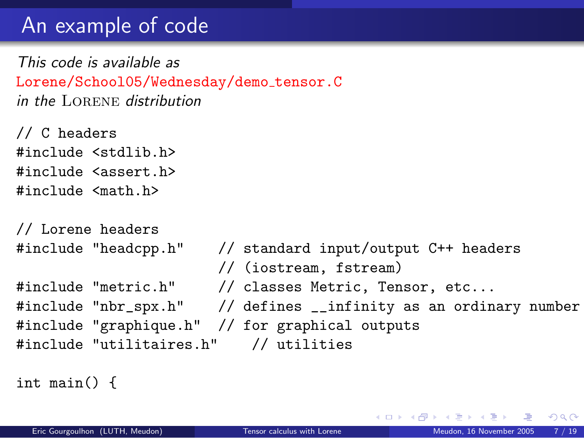## An example of code

This code is available as Lorene/School05/Wednesday/demo\_tensor.C in the Lorene distribution

// C headers #include <stdlib.h> #include <assert.h> #include <math.h>

```
// Lorene headers
#include "headcpp.h" // standard input/output C++ headers
                       // (iostream, fstream)
#include "metric.h" // classes Metric, Tensor, etc...
#include "nbr_spx.h" // defines __infinity as an ordinary number
#include "graphique.h" // for graphical outputs
#include "utilitaires.h" // utilities
```
int main() {

メロト メ何ト メミト メミト

 $QQ$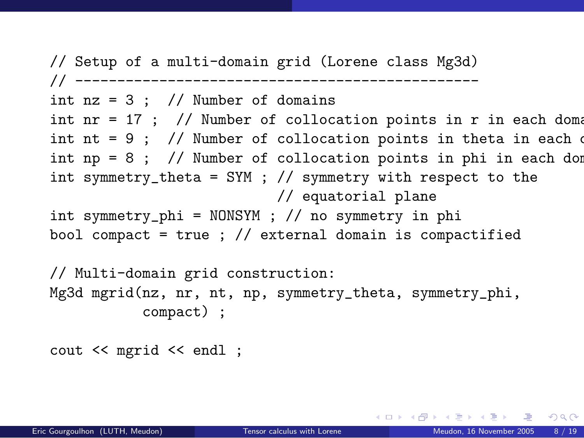// Setup of a multi-domain grid (Lorene class Mg3d) // ----------------------------------------------- int  $nz = 3$ ; // Number of domains int nr = 17 ; // Number of collocation points in r in each domain int nt = 9 ; // Number of collocation points in theta in each  $\alpha$ int np = 8 ; // Number of collocation points in phi in each dom int symmetry\_theta = SYM ; // symmetry with respect to the // equatorial plane int symmetry\_phi = NONSYM ; // no symmetry in phi bool compact = true ;  $//$  external domain is compactified

```
// Multi-domain grid construction:
Mg3d mgrid(nz, nr, nt, np, symmetry_theta, symmetry_phi,
           compact) ;
```
cout << mgrid << endl ;

A DIA KENYE KENYE YA GILA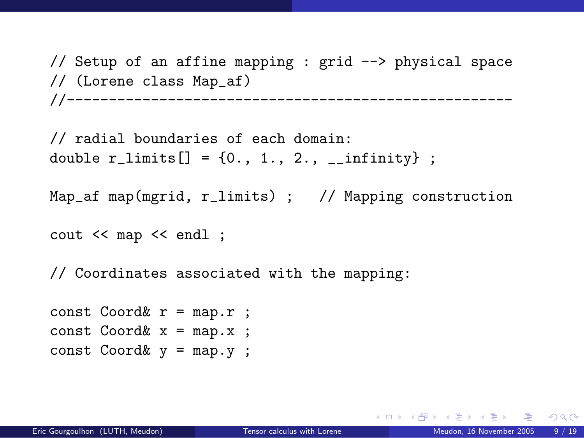// Setup of an affine mapping : grid --> physical space // (Lorene class Map\_af) //-----------------------------------------------------

// radial boundaries of each domain: double  $r$ <sup>limits</sub> $[] = \{0., 1., 2., \_infinity\}$ ;</sup>

```
Map_af map(mgrid, r_limits) ; // Mapping construction
```
cout << map << endl ;

// Coordinates associated with the mapping:

```
const Coord & r = map.r ;
const Coord& x = map.x;
const Coord& v = map. v;
```
KID KARA KEA KEA LE YORA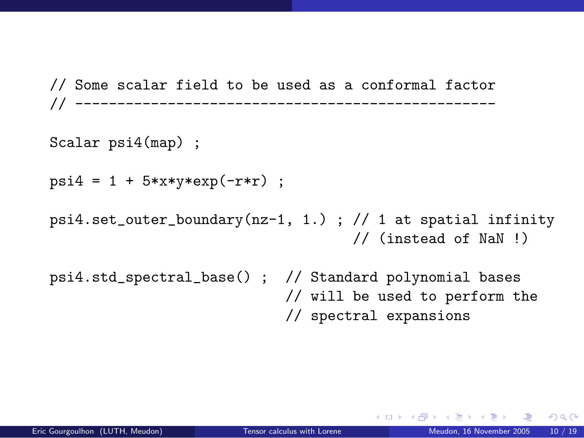// Some scalar field to be used as a conformal factor // --------------------------------------------------

Scalar psi4(map) ;

```
psi = 1 + 5*xx*y*exp(-r*r);
```
psi4.set\_outer\_boundary( $nz-1$ , 1.) ; // 1 at spatial infinity // (instead of NaN !)

psi4.std\_spectral\_base() ; // Standard polynomial bases // will be used to perform the // spectral expansions

 $298$ 

イロト イ押 トイヨ トイヨ トー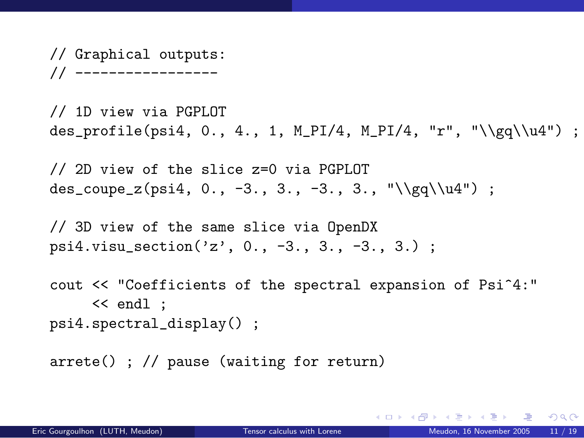// Graphical outputs: // -----------------

// 1D view via PGPLOT des\_profile(psi4, 0., 4., 1, M\_PI/4, M\_PI/4, "r", "\\gq\\u4") ;

// 2D view of the slice z=0 via PGPLOT des\_coupe\_z(psi4, 0., -3., 3., -3., 3., "\\gq\\u4") ;

// 3D view of the same slice via OpenDX psi4.visu\_section('z', 0., -3., 3., -3., 3.) ;

cout << "Coefficients of the spectral expansion of Psi^4:" << endl ; psi4.spectral\_display() ;

arrete() ; // pause (waiting for return)

KED KAP KED KED E YORA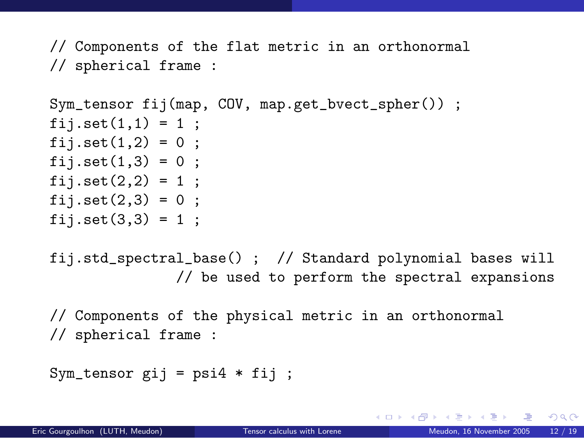// Components of the flat metric in an orthonormal // spherical frame :

```
Sym_tensor fij(map, COV, map.get_bvect_spher()) ;
fij.set(1,1) = 1;
fij.set(1,2) = 0;
fij.set(1,3) = 0;
fij.set(2,2) = 1;
fij.set(2,3) = 0;
fii.set(3.3) = 1 ;
```
fij.std\_spectral\_base() ; // Standard polynomial bases will // be used to perform the spectral expansions

// Components of the physical metric in an orthonormal // spherical frame :

```
Sym_tensor gij = psi4 * fij;
```
K ロ ▶ K 個 ▶ K 로 ▶ K 로 ▶ - 로 - K 9 Q @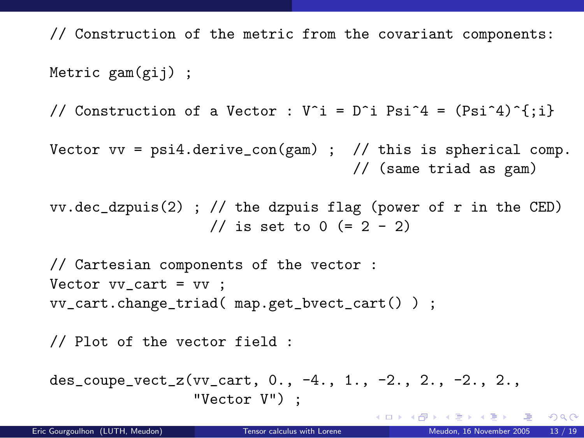// Construction of the metric from the covariant components: Metric gam(gij) ;

// Construction of a Vector : V^i = D^i Psi^4 = (Psi^4)^{;i}

Vector  $vv = psi4.derive\_con(gam)$ ; // this is spherical comp. // (same triad as gam)

```
vv.dec_dzpuis(2) ; // the dzpuis flag (power of r in the CED)
                  // is set to 0 (= 2 - 2)
```

```
// Cartesian components of the vector :
Vector vv\_cart = vv;
vv_cart.change_triad( map.get_bvect_cart() ) ;
```

```
// Plot of the vector field :
```

```
des_coupe_vect_z(vv_cart, 0., -4., 1., -2., 2., -2., 2.,
                 "Vector V") ;
```
メロト メ何ト メミト メミト

 $\equiv$  990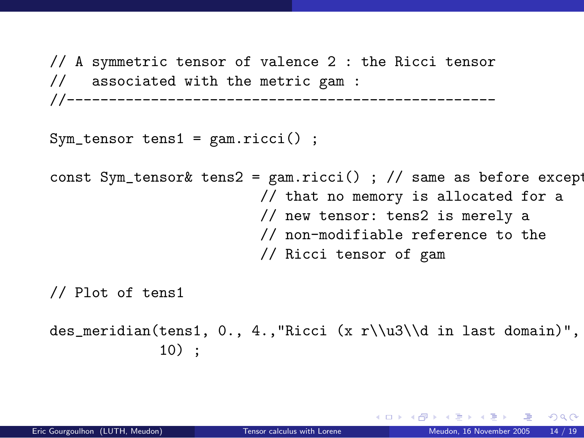// A symmetric tensor of valence 2 : the Ricci tensor // associated with the metric gam : //---------------------------------------------------

 $Sym_t$  tensor tens1 = gam.ricci();

```
const Sym_tensor& tens2 = gam.ricci() ; // same as before except
                         // that no memory is allocated for a
                         // new tensor: tens2 is merely a
                         // non-modifiable reference to the
                         // Ricci tensor of gam
```
// Plot of tens1

```
des_meridian(tens1, 0., 4.,"Ricci (x r\\u3\\d in last domain)",
             10) ;
```
 $\Omega$ 

メロト メ何ト メミト メミト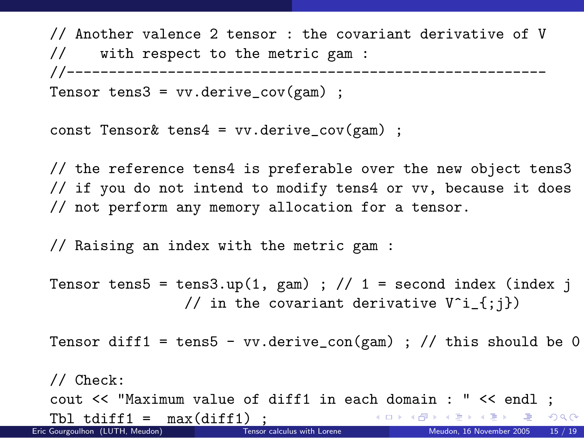// Another valence 2 tensor : the covariant derivative of V // with respect to the metric gam : //--------------------------------------------------------- Tensor tens $3 = vv.derive_cov(gam)$ ;

```
const Tensor& tens4 = vv.derive_cov(gam) ;
```
// the reference tens4 is preferable over the new object tens3 // if you do not intend to modify tens4 or vv, because it does // not perform any memory allocation for a tensor.

// Raising an index with the metric gam :

Tensor tens5 = tens3.up(1, gam) ; // 1 = second index (index j // in the covariant derivative  $V^i$  {;j})

Tensor diff1 = tens5 - vv.derive\_con(gam) ; // this should be 0

// Check: cout << "Maximum value of diff1 in each domain : " << endl ;  $\begin{array}{rcl} \text{Tb1 tdiff1} & = & \text{max}(\text{diff1}) \\ \text{Gourouthon (I IITH Methodon)} \\ \end{array}$ イロト イ団ト イミト イミト  $E = \Omega$ Eric Gourgoulhon (LUTH, Meudon) [Tensor calculus with Lorene](#page-0-0) Meudon, 16 November 2005 15 / 19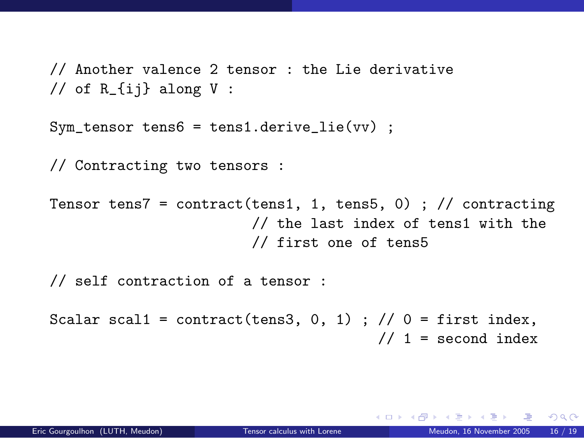// Another valence 2 tensor : the Lie derivative // of  $R_{i}$  along V :

```
Sym_{\epsilon} tensor tens6 = tens1. derive lie(vv) :
```
// Contracting two tensors :

Tensor tens7 = contract(tens1, 1, tens5, 0) ; // contracting // the last index of tens1 with the // first one of tens5

// self contraction of a tensor :

Scalar scal1 = contract(tens3, 0, 1) ;  $// 0 =$  first index,  $// 1 = second index$ 

 $\equiv$   $\Omega$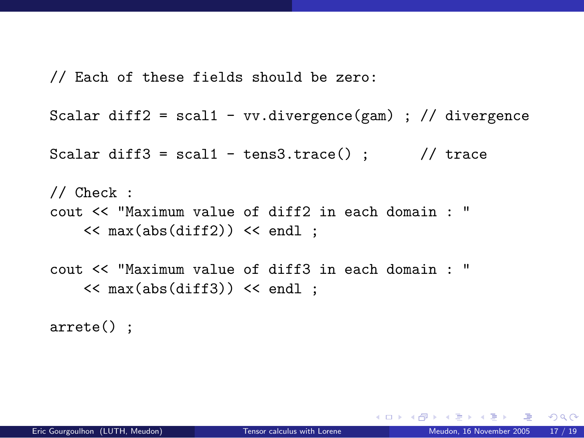// Each of these fields should be zero:

```
Scalar diff2 = scal1 - vv.divergence(gam); // divergence
```
Scalar diff3 =  $scal1 - tens3.trace()$ ; // trace

// Check : cout << "Maximum value of diff2 in each domain : "  $\lt$  max(abs(diff2))  $\lt$  endl ;

cout << "Maximum value of diff3 in each domain : "  $\lt$  max(abs(diff3))  $\lt$  endl :

arrete() ;

 $\Omega$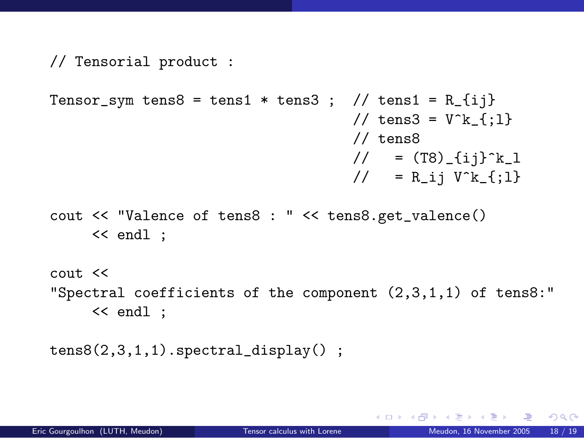```
// Tensorial product :
```

```
Tensor_sym tens8 = tens1 * tens3 ; // tens1 = R_{ij}
                                              // tens3 = V^k {:1}
                                              // tens8
                                               \frac{1}{2} = (T8) \frac{1}{2} \frac{1}{2} \frac{1}{2}// = R_i V^k_{s} {; 1}
```
cout << "Valence of tens8 : " << tens8.get\_valence() << endl ;

cout << "Spectral coefficients of the component (2,3,1,1) of tens8:" << endl ;

```
tens8(2,3,1,1).spectral_display() ;
```
イロト イ押ト イヨト イヨトー

 $\equiv$  990